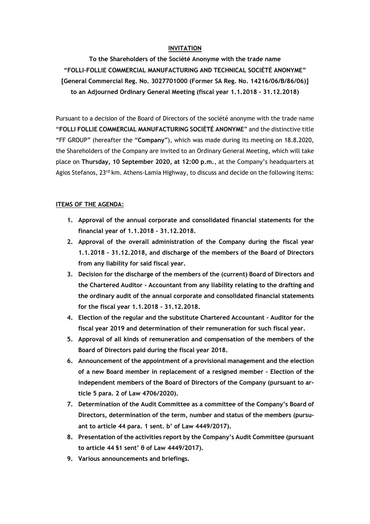## **INVITATION**

**To the Shareholders of the Société Anonyme with the trade name "FOLLI-FOLLIE COMMERCIAL MANUFACTURING AND TECHNICAL SOCIÉTÉ ANONYME" [General Commercial Reg. No. 3027701000 (Former SA Reg. No. 14216/06/B/86/06)] to an Adjourned Ordinary General Meeting (fiscal year 1.1.2018 - 31.12.2018)**

Pursuant to a decision of the Board of Directors of the société anonyme with the trade name "**FOLLI FOLLIE COMMERCIAL MANUFACTURING SOCIÉTÉ ANONYME**" and the distinctive title "FF GROUP" (hereafter the "**Company**"), which was made during its meeting on 18.8.2020, the Shareholders of the Company are invited to an Ordinary General Meeting, which will take place on **Thursday, 10 September 2020, at 12:00 p.m.**, at the Company's headquarters at Agios Stefanos, 23<sup>rd</sup> km. Athens-Lamia Highway, to discuss and decide on the following items:

#### **ITEMS OF THE AGENDA:**

- **1. Approval of the annual corporate and consolidated financial statements for the financial year of 1.1.2018 - 31.12.2018.**
- **2. Approval of the overall administration of the Company during the fiscal year 1.1.2018 - 31.12.2018, and discharge of the members of the Board of Directors from any liability for said fiscal year.**
- **3. Decision for the discharge of the members of the (current) Board of Directors and the Chartered Auditor - Accountant from any liability relating to the drafting and the ordinary audit of the annual corporate and consolidated financial statements for the fiscal year 1.1.2018 - 31.12.2018.**
- **4. Election of the regular and the substitute Chartered Accountant - Auditor for the fiscal year 2019 and determination of their remuneration for such fiscal year.**
- **5. Approval of all kinds of remuneration and compensation of the members of the Board of Directors paid during the fiscal year 2018.**
- **6. Announcement of the appointment of a provisional management and the election of a new Board member in replacement of a resigned member - Election of the independent members of the Board of Directors of the Company (pursuant to article 5 para. 2 of Law 4706/2020).**
- **7. Determination of the Audit Committee as a committee of the Company's Board of Directors, determination of the term, number and status of the members (pursuant to article 44 para. 1 sent. b' of Law 4449/2017).**
- **8. Presentation of the activities report by the Company's Audit Committee (pursuant to article 44 §1 sent' θ of Law 4449/2017).**
- **9. Various announcements and briefings.**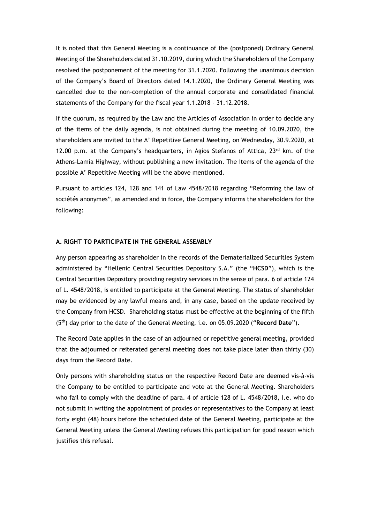It is noted that this General Meeting is a continuance of the (postponed) Ordinary General Meeting of the Shareholders dated 31.10.2019, during which the Shareholders of the Company resolved the postponement of the meeting for 31.1.2020. Following the unanimous decision of the Company's Board of Directors dated 14.1.2020, the Ordinary General Meeting was cancelled due to the non-completion of the annual corporate and consolidated financial statements of the Company for the fiscal year 1.1.2018 - 31.12.2018.

If the quorum, as required by the Law and the Articles of Association in order to decide any of the items of the daily agenda, is not obtained during the meeting of 10.09.2020, the shareholders are invited to the A' Repetitive General Meeting, on Wednesday, 30.9.2020, at 12.00 p.m. at the Company's headquarters, in Agios Stefanos of Attica,  $23<sup>rd</sup>$  km. of the Athens-Lamia Highway, without publishing a new invitation. The items of the agenda of the possible A' Repetitive Meeting will be the above mentioned.

Pursuant to articles 124, 128 and 141 of Law 4548/2018 regarding "Reforming the law of sociétés anonymes", as amended and in force, the Company informs the shareholders for the following:

# **A. RIGHT TO PARTICIPATE IN THE GENERAL ASSEMBLY**

Any person appearing as shareholder in the records of the Dematerialized Securities System administered by "Hellenic Central Securities Depository S.A." (the "**HCSD**"), which is the Central Securities Depository providing registry services in the sense of para. 6 of article 124 of L. 4548/2018, is entitled to participate at the General Meeting. The status of shareholder may be evidenced by any lawful means and, in any case, based on the update received by the Company from HCSD. Shareholding status must be effective at the beginning of the fifth (5th) day prior to the date of the General Meeting, i.e. on 05.09.2020 ("**Record Date**").

The Record Date applies in the case of an adjourned or repetitive general meeting, provided that the adjourned or reiterated general meeting does not take place later than thirty (30) days from the Record Date.

Only persons with shareholding status on the respective Record Date are deemed vis-à-vis the Company to be entitled to participate and vote at the General Meeting. Shareholders who fail to comply with the deadline of para. 4 of article 128 of L. 4548/2018, i.e. who do not submit in writing the appointment of proxies or representatives to the Company at least forty eight (48) hours before the scheduled date of the General Meeting, participate at the General Meeting unless the General Meeting refuses this participation for good reason which justifies this refusal.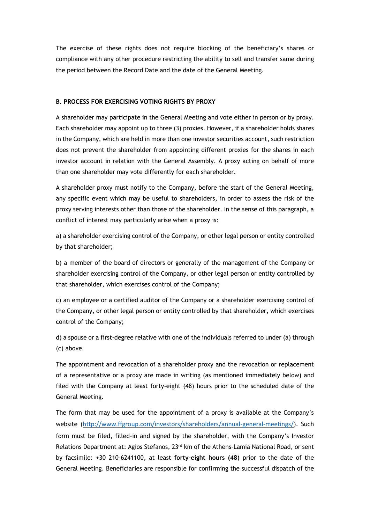The exercise of these rights does not require blocking of the beneficiary's shares or compliance with any other procedure restricting the ability to sell and transfer same during the period between the Record Date and the date of the General Meeting.

# **B. PROCESS FOR EXERCISING VOTING RIGHTS BY PROXY**

A shareholder may participate in the General Meeting and vote either in person or by proxy. Each shareholder may appoint up to three (3) proxies. However, if a shareholder holds shares in the Company, which are held in more than one investor securities account, such restriction does not prevent the shareholder from appointing different proxies for the shares in each investor account in relation with the General Assembly. A proxy acting on behalf of more than one shareholder may vote differently for each shareholder.

A shareholder proxy must notify to the Company, before the start of the General Meeting, any specific event which may be useful to shareholders, in order to assess the risk of the proxy serving interests other than those of the shareholder. In the sense of this paragraph, a conflict of interest may particularly arise when a proxy is:

a) a shareholder exercising control of the Company, or other legal person or entity controlled by that shareholder;

b) a member of the board of directors or generally of the management of the Company or shareholder exercising control of the Company, or other legal person or entity controlled by that shareholder, which exercises control of the Company;

c) an employee or a certified auditor of the Company or a shareholder exercising control of the Company, or other legal person or entity controlled by that shareholder, which exercises control of the Company;

d) a spouse or a first-degree relative with one of the individuals referred to under (a) through (c) above.

The appointment and revocation of a shareholder proxy and the revocation or replacement of a representative or a proxy are made in writing (as mentioned immediately below) and filed with the Company at least forty-eight (48) hours prior to the scheduled date of the General Meeting.

The form that may be used for the appointment of a proxy is available at the Company's website (<http://www.ffgroup.com/investors/shareholders/annual-general-meetings/>). Such form must be filed, filled-in and signed by the shareholder, with the Company's Investor Relations Department at: Agios Stefanos, 23<sup>rd</sup> km of the Athens-Lamia National Road, or sent by facsimile: +30 210-6241100, at least **forty-eight hours (48)** prior to the date of the General Meeting. Beneficiaries are responsible for confirming the successful dispatch of the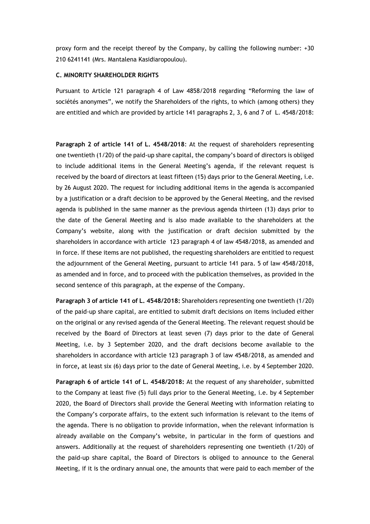proxy form and the receipt thereof by the Company, by calling the following number: +30 210 6241141 (Mrs. Mantalena Kasidiaropoulou).

#### **C. MINORITY SHAREHOLDER RIGHTS**

Pursuant to Article 121 paragraph 4 of Law 4858/2018 regarding "Reforming the law of sociétés anonymes", we notify the Shareholders of the rights, to which (among others) they are entitled and which are provided by article 141 paragraphs 2, 3, 6 and 7 of L. 4548/2018:

**Paragraph 2 of article 141 of L. 4548/2018**: At the request of shareholders representing one twentieth (1/20) of the paid-up share capital, the company's board of directors is obliged to include additional items in the General Meeting's agenda, if the relevant request is received by the board of directors at least fifteen (15) days prior to the General Meeting, i.e. by 26 August 2020. The request for including additional items in the agenda is accompanied by a justification or a draft decision to be approved by the General Meeting, and the revised agenda is published in the same manner as the previous agenda thirteen (13) days prior to the date of the General Meeting and is also made available to the shareholders at the Company's website, along with the justification or draft decision submitted by the shareholders in accordance with article 123 paragraph 4 of law 4548/2018, as amended and in force. If these items are not published, the requesting shareholders are entitled to request the adjournment of the General Meeting, pursuant to article 141 para. 5 of law 4548/2018, as amended and in force, and to proceed with the publication themselves, as provided in the second sentence of this paragraph, at the expense of the Company.

**Paragraph 3 of article 141 of L. 4548/2018:** Shareholders representing one twentieth (1/20) of the paid-up share capital, are entitled to submit draft decisions on items included either on the original or any revised agenda of the General Meeting. The relevant request should be received by the Board of Directors at least seven (7) days prior to the date of General Meeting, i.e. by 3 September 2020, and the draft decisions become available to the shareholders in accordance with article 123 paragraph 3 of law 4548/2018, as amended and in force**,** at least six (6) days prior to the date of General Meeting, i.e. by 4 September 2020.

**Paragraph 6 of article 141 of L. 4548/2018:** At the request of any shareholder, submitted to the Company at least five (5) full days prior to the General Meeting, i.e. by 4 September 2020, the Board of Directors shall provide the General Meeting with information relating to the Company's corporate affairs, to the extent such information is relevant to the items of the agenda. There is no obligation to provide information, when the relevant information is already available on the Company's website, in particular in the form of questions and answers. Additionally at the request of shareholders representing one twentieth (1/20) of the paid-up share capital, the Board of Directors is obliged to announce to the General Meeting, if it is the ordinary annual one, the amounts that were paid to each member of the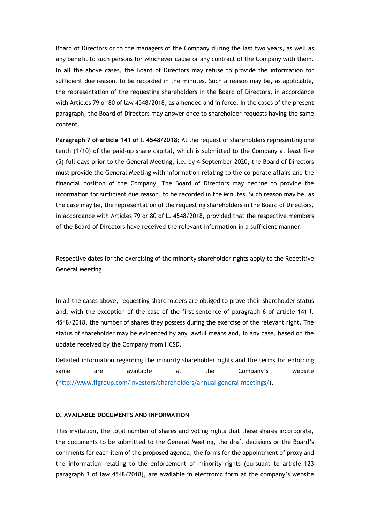Board of Directors or to the managers of the Company during the last two years, as well as any benefit to such persons for whichever cause or any contract of the Company with them. In all the above cases, the Board of Directors may refuse to provide the information for sufficient due reason, to be recorded in the minutes. Such a reason may be, as applicable, the representation of the requesting shareholders in the Board of Directors, in accordance with Articles 79 or 80 of law 4548/2018, as amended and in force. In the cases of the present paragraph, the Board of Directors may answer once to shareholder requests having the same content.

**Paragraph 7 of article 141 of l. 4548/2018:** At the request of shareholders representing one tenth (1/10) of the paid-up share capital, which is submitted to the Company at least five (5) full days prior to the General Meeting, i.e. by 4 September 2020, the Board of Directors must provide the General Meeting with information relating to the corporate affairs and the financial position of the Company. The Board of Directors may decline to provide the information for sufficient due reason, to be recorded in the Minutes. Such reason may be, as the case may be, the representation of the requesting shareholders in the Board of Directors, in accordance with Articles 79 or 80 of L. 4548/2018, provided that the respective members of the Board of Directors have received the relevant information in a sufficient manner.

Respective dates for the exercising of the minority shareholder rights apply to the Repetitive General Meeting.

In all the cases above, requesting shareholders are obliged to prove their shareholder status and, with the exception of the case of the first sentence of paragraph 6 of article 141 l. 4548/2018, the number of shares they possess during the exercise of the relevant right. The status of shareholder may be evidenced by any lawful means and, in any case, based on the update received by the Company from HCSD.

Detailed information regarding the minority shareholder rights and the terms for enforcing same are available at the Company's website (<http://www.ffgroup.com/investors/shareholders/annual-general-meetings/>).

### **D. AVAILABLE DOCUMENTS AND INFORMATION**

This invitation, the total number of shares and voting rights that these shares incorporate, the documents to be submitted to the General Meeting, the draft decisions or the Board's comments for each item of the proposed agenda, the forms for the appointment of proxy and the information relating to the enforcement of minority rights (pursuant to article 123 paragraph 3 of law 4548/2018), are available in electronic form at the company's website